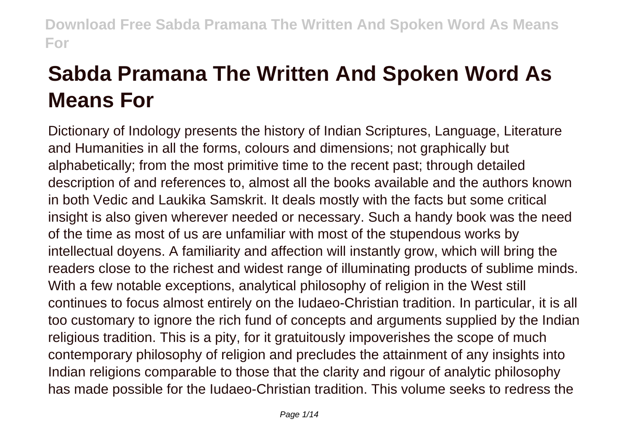# **Sabda Pramana The Written And Spoken Word As Means For**

Dictionary of Indology presents the history of Indian Scriptures, Language, Literature and Humanities in all the forms, colours and dimensions; not graphically but alphabetically; from the most primitive time to the recent past; through detailed description of and references to, almost all the books available and the authors known in both Vedic and Laukika Samskrit. It deals mostly with the facts but some critical insight is also given wherever needed or necessary. Such a handy book was the need of the time as most of us are unfamiliar with most of the stupendous works by intellectual doyens. A familiarity and affection will instantly grow, which will bring the readers close to the richest and widest range of illuminating products of sublime minds. With a few notable exceptions, analytical philosophy of religion in the West still continues to focus almost entirely on the Iudaeo-Christian tradition. In particular, it is all too customary to ignore the rich fund of concepts and arguments supplied by the Indian religious tradition. This is a pity, for it gratuitously impoverishes the scope of much contemporary philosophy of religion and precludes the attainment of any insights into Indian religions comparable to those that the clarity and rigour of analytic philosophy has made possible for the Iudaeo-Christian tradition. This volume seeks to redress the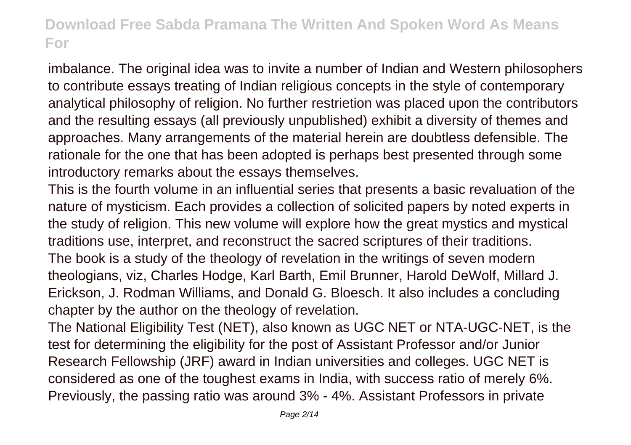imbalance. The original idea was to invite a number of Indian and Western philosophers to contribute essays treating of Indian religious concepts in the style of contemporary analytical philosophy of religion. No further restrietion was placed upon the contributors and the resulting essays (all previously unpublished) exhibit a diversity of themes and approaches. Many arrangements of the material herein are doubtless defensible. The rationale for the one that has been adopted is perhaps best presented through some introductory remarks about the essays themselves.

This is the fourth volume in an influential series that presents a basic revaluation of the nature of mysticism. Each provides a collection of solicited papers by noted experts in the study of religion. This new volume will explore how the great mystics and mystical traditions use, interpret, and reconstruct the sacred scriptures of their traditions. The book is a study of the theology of revelation in the writings of seven modern theologians, viz, Charles Hodge, Karl Barth, Emil Brunner, Harold DeWolf, Millard J. Erickson, J. Rodman Williams, and Donald G. Bloesch. It also includes a concluding chapter by the author on the theology of revelation.

The National Eligibility Test (NET), also known as UGC NET or NTA-UGC-NET, is the test for determining the eligibility for the post of Assistant Professor and/or Junior Research Fellowship (JRF) award in Indian universities and colleges. UGC NET is considered as one of the toughest exams in India, with success ratio of merely 6%. Previously, the passing ratio was around 3% - 4%. Assistant Professors in private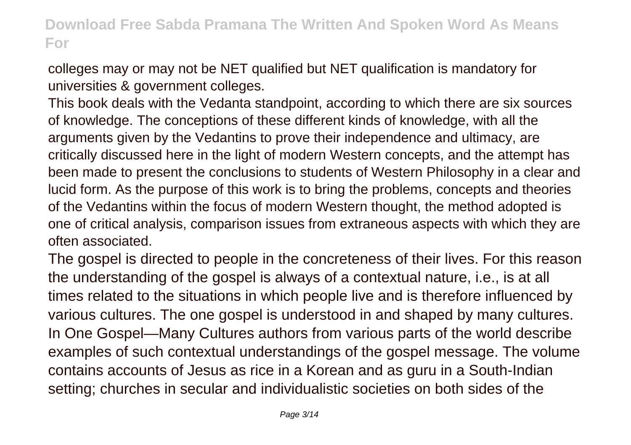colleges may or may not be NET qualified but NET qualification is mandatory for universities & government colleges.

This book deals with the Vedanta standpoint, according to which there are six sources of knowledge. The conceptions of these different kinds of knowledge, with all the arguments given by the Vedantins to prove their independence and ultimacy, are critically discussed here in the light of modern Western concepts, and the attempt has been made to present the conclusions to students of Western Philosophy in a clear and lucid form. As the purpose of this work is to bring the problems, concepts and theories of the Vedantins within the focus of modern Western thought, the method adopted is one of critical analysis, comparison issues from extraneous aspects with which they are often associated.

The gospel is directed to people in the concreteness of their lives. For this reason the understanding of the gospel is always of a contextual nature, i.e., is at all times related to the situations in which people live and is therefore influenced by various cultures. The one gospel is understood in and shaped by many cultures. In One Gospel—Many Cultures authors from various parts of the world describe examples of such contextual understandings of the gospel message. The volume contains accounts of Jesus as rice in a Korean and as guru in a South-Indian setting; churches in secular and individualistic societies on both sides of the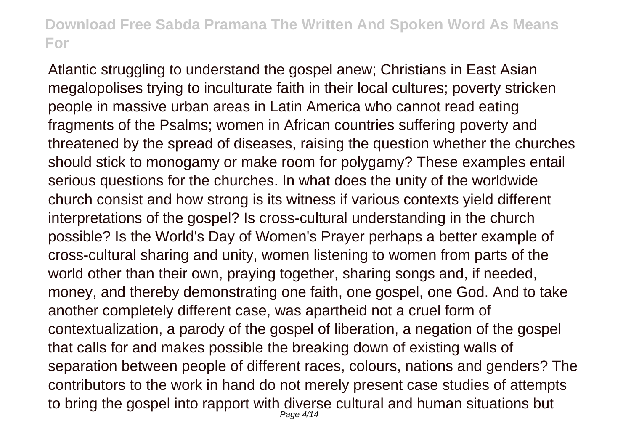Atlantic struggling to understand the gospel anew; Christians in East Asian megalopolises trying to inculturate faith in their local cultures; poverty stricken people in massive urban areas in Latin America who cannot read eating fragments of the Psalms; women in African countries suffering poverty and threatened by the spread of diseases, raising the question whether the churches should stick to monogamy or make room for polygamy? These examples entail serious questions for the churches. In what does the unity of the worldwide church consist and how strong is its witness if various contexts yield different interpretations of the gospel? Is cross-cultural understanding in the church possible? Is the World's Day of Women's Prayer perhaps a better example of cross-cultural sharing and unity, women listening to women from parts of the world other than their own, praying together, sharing songs and, if needed, money, and thereby demonstrating one faith, one gospel, one God. And to take another completely different case, was apartheid not a cruel form of contextualization, a parody of the gospel of liberation, a negation of the gospel that calls for and makes possible the breaking down of existing walls of separation between people of different races, colours, nations and genders? The contributors to the work in hand do not merely present case studies of attempts to bring the gospel into rapport with diverse cultural and human situations but Page 4/14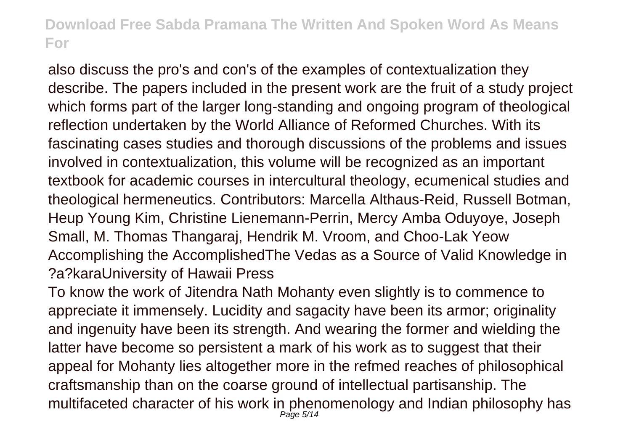also discuss the pro's and con's of the examples of contextualization they describe. The papers included in the present work are the fruit of a study project which forms part of the larger long-standing and ongoing program of theological reflection undertaken by the World Alliance of Reformed Churches. With its fascinating cases studies and thorough discussions of the problems and issues involved in contextualization, this volume will be recognized as an important textbook for academic courses in intercultural theology, ecumenical studies and theological hermeneutics. Contributors: Marcella Althaus-Reid, Russell Botman, Heup Young Kim, Christine Lienemann-Perrin, Mercy Amba Oduyoye, Joseph Small, M. Thomas Thangaraj, Hendrik M. Vroom, and Choo-Lak Yeow Accomplishing the AccomplishedThe Vedas as a Source of Valid Knowledge in ?a?karaUniversity of Hawaii Press

To know the work of Jitendra Nath Mohanty even slightly is to commence to appreciate it immensely. Lucidity and sagacity have been its armor; originality and ingenuity have been its strength. And wearing the former and wielding the latter have become so persistent a mark of his work as to suggest that their appeal for Mohanty lies altogether more in the refmed reaches of philosophical craftsmanship than on the coarse ground of intellectual partisanship. The multifaceted character of his work in phenomenology and Indian philosophy has Page 5/14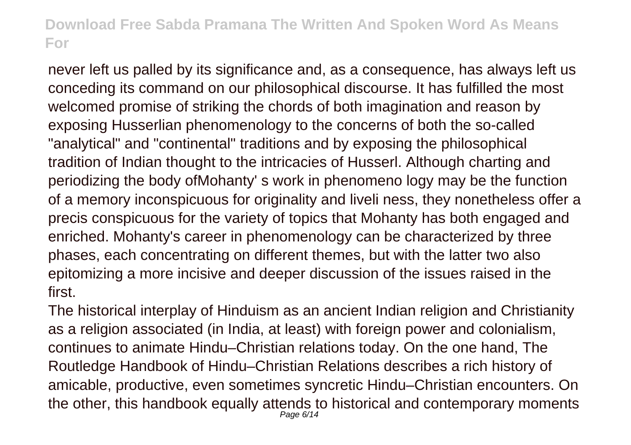never left us palled by its significance and, as a consequence, has always left us conceding its command on our philosophical discourse. It has fulfilled the most welcomed promise of striking the chords of both imagination and reason by exposing Husserlian phenomenology to the concerns of both the so-called "analytical" and "continental" traditions and by exposing the philosophical tradition of Indian thought to the intricacies of Husserl. Although charting and periodizing the body ofMohanty' s work in phenomeno logy may be the function of a memory inconspicuous for originality and liveli ness, they nonetheless offer a precis conspicuous for the variety of topics that Mohanty has both engaged and enriched. Mohanty's career in phenomenology can be characterized by three phases, each concentrating on different themes, but with the latter two also epitomizing a more incisive and deeper discussion of the issues raised in the first.

The historical interplay of Hinduism as an ancient Indian religion and Christianity as a religion associated (in India, at least) with foreign power and colonialism, continues to animate Hindu–Christian relations today. On the one hand, The Routledge Handbook of Hindu–Christian Relations describes a rich history of amicable, productive, even sometimes syncretic Hindu–Christian encounters. On the other, this handbook equally attends to historical and contemporary moments Page 6/14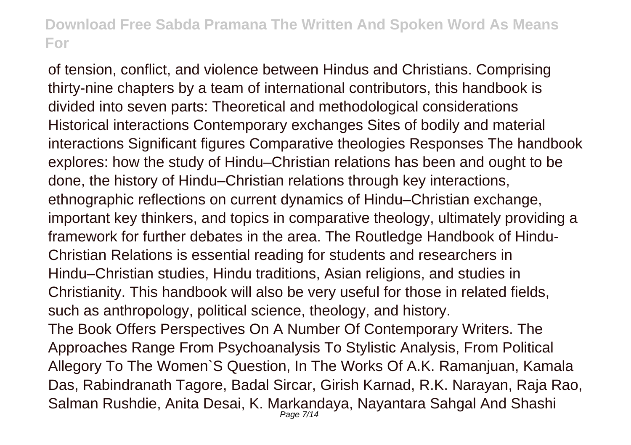of tension, conflict, and violence between Hindus and Christians. Comprising thirty-nine chapters by a team of international contributors, this handbook is divided into seven parts: Theoretical and methodological considerations Historical interactions Contemporary exchanges Sites of bodily and material interactions Significant figures Comparative theologies Responses The handbook explores: how the study of Hindu–Christian relations has been and ought to be done, the history of Hindu–Christian relations through key interactions, ethnographic reflections on current dynamics of Hindu–Christian exchange, important key thinkers, and topics in comparative theology, ultimately providing a framework for further debates in the area. The Routledge Handbook of Hindu-Christian Relations is essential reading for students and researchers in Hindu–Christian studies, Hindu traditions, Asian religions, and studies in Christianity. This handbook will also be very useful for those in related fields, such as anthropology, political science, theology, and history. The Book Offers Perspectives On A Number Of Contemporary Writers. The Approaches Range From Psychoanalysis To Stylistic Analysis, From Political Allegory To The Women`S Question, In The Works Of A.K. Ramanjuan, Kamala Das, Rabindranath Tagore, Badal Sircar, Girish Karnad, R.K. Narayan, Raja Rao, Salman Rushdie, Anita Desai, K. Markandaya, Nayantara Sahgal And Shashi Page 7/14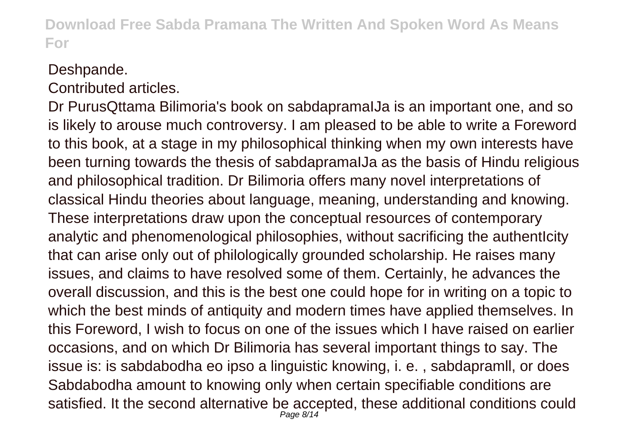#### Deshpande.

Contributed articles.

Dr PurusQttama Bilimoria's book on sabdapramaIJa is an important one, and so is likely to arouse much controversy. I am pleased to be able to write a Foreword to this book, at a stage in my philosophical thinking when my own interests have been turning towards the thesis of sabdapramaIJa as the basis of Hindu religious and philosophical tradition. Dr Bilimoria offers many novel interpretations of classical Hindu theories about language, meaning, understanding and knowing. These interpretations draw upon the conceptual resources of contemporary analytic and phenomenological philosophies, without sacrificing the authenticity that can arise only out of philologically grounded scholarship. He raises many issues, and claims to have resolved some of them. Certainly, he advances the overall discussion, and this is the best one could hope for in writing on a topic to which the best minds of antiquity and modern times have applied themselves. In this Foreword, I wish to focus on one of the issues which I have raised on earlier occasions, and on which Dr Bilimoria has several important things to say. The issue is: is sabdabodha eo ipso a linguistic knowing, i. e. , sabdapramll, or does Sabdabodha amount to knowing only when certain specifiable conditions are satisfied. It the second alternative be accepted, these additional conditions could Page 8/14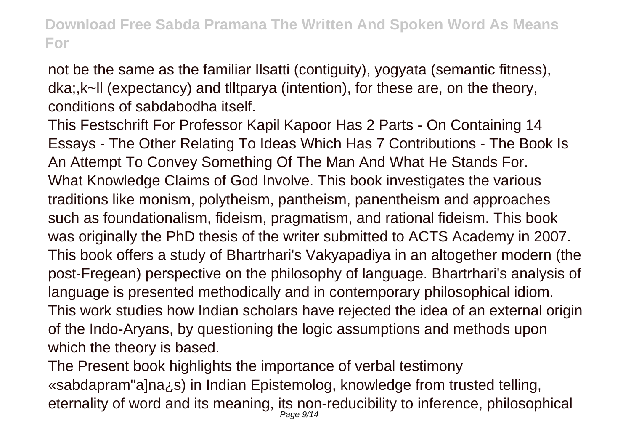not be the same as the familiar Ilsatti (contiguity), yogyata (semantic fitness), dka;,k~ll (expectancy) and tlltparya (intention), for these are, on the theory, conditions of sabdabodha itself.

This Festschrift For Professor Kapil Kapoor Has 2 Parts - On Containing 14 Essays - The Other Relating To Ideas Which Has 7 Contributions - The Book Is An Attempt To Convey Something Of The Man And What He Stands For. What Knowledge Claims of God Involve. This book investigates the various traditions like monism, polytheism, pantheism, panentheism and approaches such as foundationalism, fideism, pragmatism, and rational fideism. This book was originally the PhD thesis of the writer submitted to ACTS Academy in 2007. This book offers a study of Bhartrhari's Vakyapadiya in an altogether modern (the post-Fregean) perspective on the philosophy of language. Bhartrhari's analysis of language is presented methodically and in contemporary philosophical idiom. This work studies how Indian scholars have rejected the idea of an external origin of the Indo-Aryans, by questioning the logic assumptions and methods upon which the theory is based.

The Present book highlights the importance of verbal testimony «sabdapram"a]na¿s) in Indian Epistemolog, knowledge from trusted telling, eternality of word and its meaning, its non-reducibility to inference, philosophical Page 9/14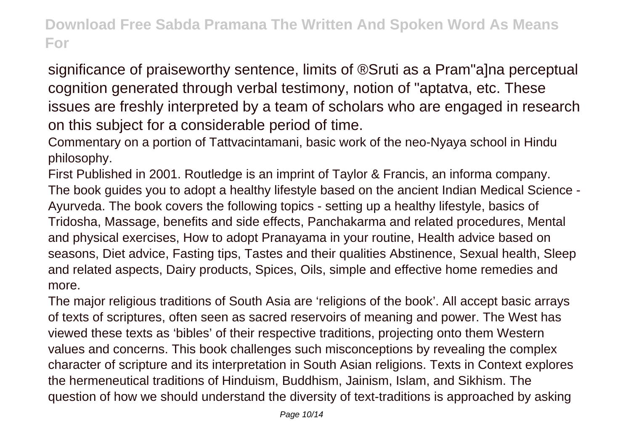significance of praiseworthy sentence, limits of ®Sruti as a Pram"a]na perceptual cognition generated through verbal testimony, notion of "aptatva, etc. These issues are freshly interpreted by a team of scholars who are engaged in research on this subject for a considerable period of time.

Commentary on a portion of Tattvacintamani, basic work of the neo-Nyaya school in Hindu philosophy.

First Published in 2001. Routledge is an imprint of Taylor & Francis, an informa company. The book guides you to adopt a healthy lifestyle based on the ancient Indian Medical Science - Ayurveda. The book covers the following topics - setting up a healthy lifestyle, basics of Tridosha, Massage, benefits and side effects, Panchakarma and related procedures, Mental and physical exercises, How to adopt Pranayama in your routine, Health advice based on seasons, Diet advice, Fasting tips, Tastes and their qualities Abstinence, Sexual health, Sleep and related aspects, Dairy products, Spices, Oils, simple and effective home remedies and more.

The major religious traditions of South Asia are 'religions of the book'. All accept basic arrays of texts of scriptures, often seen as sacred reservoirs of meaning and power. The West has viewed these texts as 'bibles' of their respective traditions, projecting onto them Western values and concerns. This book challenges such misconceptions by revealing the complex character of scripture and its interpretation in South Asian religions. Texts in Context explores the hermeneutical traditions of Hinduism, Buddhism, Jainism, Islam, and Sikhism. The question of how we should understand the diversity of text-traditions is approached by asking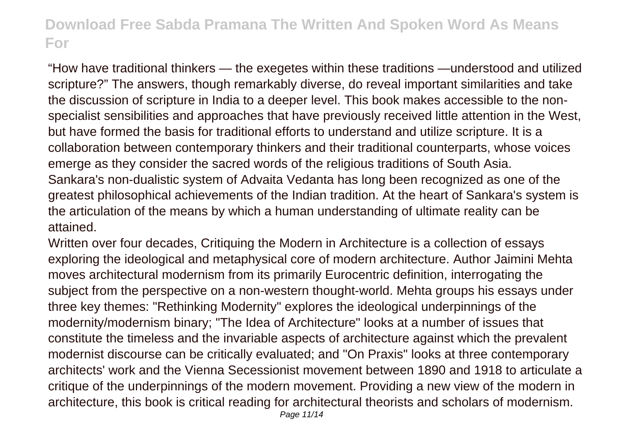"How have traditional thinkers — the exegetes within these traditions —understood and utilized scripture?" The answers, though remarkably diverse, do reveal important similarities and take the discussion of scripture in India to a deeper level. This book makes accessible to the nonspecialist sensibilities and approaches that have previously received little attention in the West, but have formed the basis for traditional efforts to understand and utilize scripture. It is a collaboration between contemporary thinkers and their traditional counterparts, whose voices emerge as they consider the sacred words of the religious traditions of South Asia. Sankara's non-dualistic system of Advaita Vedanta has long been recognized as one of the greatest philosophical achievements of the Indian tradition. At the heart of Sankara's system is the articulation of the means by which a human understanding of ultimate reality can be attained.

Written over four decades, Critiquing the Modern in Architecture is a collection of essays exploring the ideological and metaphysical core of modern architecture. Author Jaimini Mehta moves architectural modernism from its primarily Eurocentric definition, interrogating the subject from the perspective on a non-western thought-world. Mehta groups his essays under three key themes: "Rethinking Modernity" explores the ideological underpinnings of the modernity/modernism binary; "The Idea of Architecture" looks at a number of issues that constitute the timeless and the invariable aspects of architecture against which the prevalent modernist discourse can be critically evaluated; and "On Praxis" looks at three contemporary architects' work and the Vienna Secessionist movement between 1890 and 1918 to articulate a critique of the underpinnings of the modern movement. Providing a new view of the modern in architecture, this book is critical reading for architectural theorists and scholars of modernism.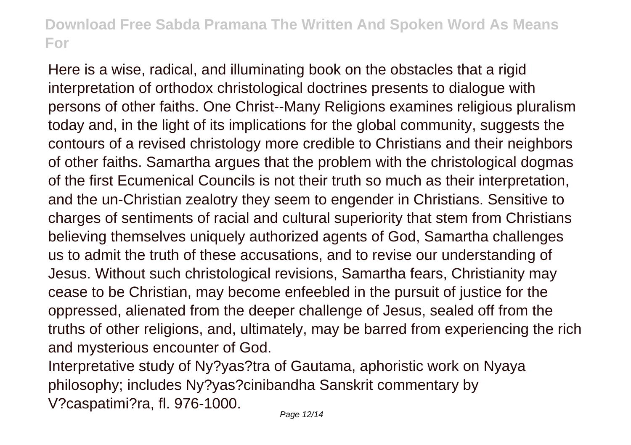Here is a wise, radical, and illuminating book on the obstacles that a rigid interpretation of orthodox christological doctrines presents to dialogue with persons of other faiths. One Christ--Many Religions examines religious pluralism today and, in the light of its implications for the global community, suggests the contours of a revised christology more credible to Christians and their neighbors of other faiths. Samartha argues that the problem with the christological dogmas of the first Ecumenical Councils is not their truth so much as their interpretation, and the un-Christian zealotry they seem to engender in Christians. Sensitive to charges of sentiments of racial and cultural superiority that stem from Christians believing themselves uniquely authorized agents of God, Samartha challenges us to admit the truth of these accusations, and to revise our understanding of Jesus. Without such christological revisions, Samartha fears, Christianity may cease to be Christian, may become enfeebled in the pursuit of justice for the oppressed, alienated from the deeper challenge of Jesus, sealed off from the truths of other religions, and, ultimately, may be barred from experiencing the rich and mysterious encounter of God.

Interpretative study of Ny?yas?tra of Gautama, aphoristic work on Nyaya philosophy; includes Ny?yas?cinibandha Sanskrit commentary by V?caspatimi?ra, fl. 976-1000.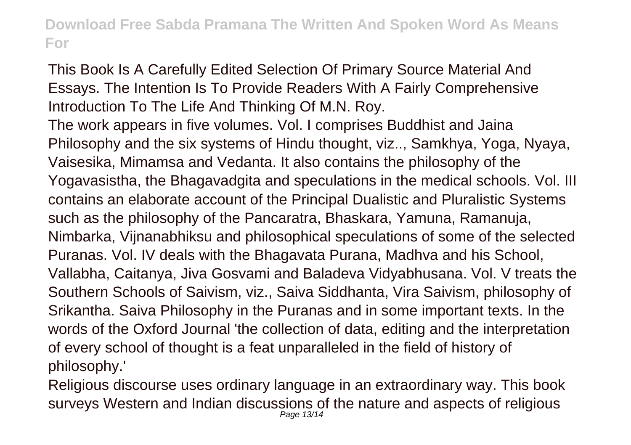This Book Is A Carefully Edited Selection Of Primary Source Material And Essays. The Intention Is To Provide Readers With A Fairly Comprehensive Introduction To The Life And Thinking Of M.N. Roy.

The work appears in five volumes. Vol. I comprises Buddhist and Jaina Philosophy and the six systems of Hindu thought, viz.., Samkhya, Yoga, Nyaya, Vaisesika, Mimamsa and Vedanta. It also contains the philosophy of the Yogavasistha, the Bhagavadgita and speculations in the medical schools. Vol. III contains an elaborate account of the Principal Dualistic and Pluralistic Systems such as the philosophy of the Pancaratra, Bhaskara, Yamuna, Ramanuja, Nimbarka, Vijnanabhiksu and philosophical speculations of some of the selected Puranas. Vol. IV deals with the Bhagavata Purana, Madhva and his School, Vallabha, Caitanya, Jiva Gosvami and Baladeva Vidyabhusana. Vol. V treats the Southern Schools of Saivism, viz., Saiva Siddhanta, Vira Saivism, philosophy of Srikantha. Saiva Philosophy in the Puranas and in some important texts. In the words of the Oxford Journal 'the collection of data, editing and the interpretation of every school of thought is a feat unparalleled in the field of history of philosophy.'

Religious discourse uses ordinary language in an extraordinary way. This book surveys Western and Indian discussions of the nature and aspects of religious Page 13/14